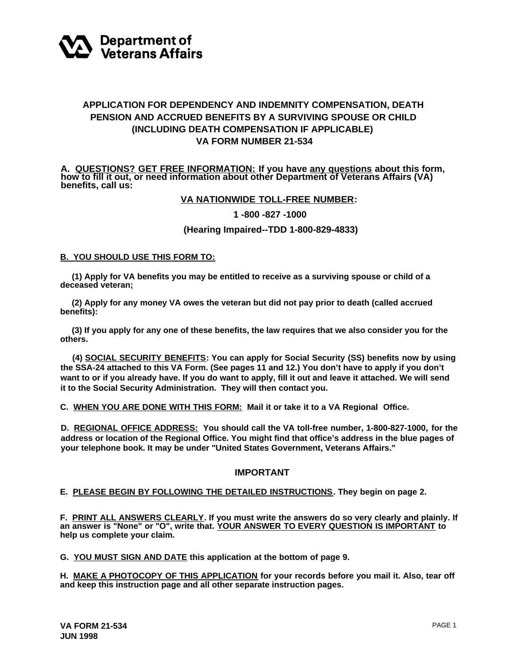

# **APPLICATION FOR DEPENDENCY AND INDEMNITY COMPENSATION, DEATH PENSION AND ACCRUED BENEFITS BY A SURVIVING SPOUSE OR CHILD (INCLUDING DEATH COMPENSATION IF APPLICABLE) VA FORM NUMBER 21-534**

**A. QUESTIONS? GET FREE INFORMATION: If you have any questions about this form,** how to fill it out, or need information about other Department of Veterans Affairs (VA)<br>benefits, call us:

## **VA NATIONWIDE TOLL-FREE NUMBER:**

## **1 -800 -827 -1000**

#### **(Hearing Impaired--TDD 1-800-829-4833)**

#### **B. YOU SHOULD USE THIS FORM TO:**

 **(1) Apply for VA benefits you may be entitled to receive as a surviving spouse or child of a deceased veteran;**

 **(2) Apply for any money VA owes the veteran but did not pay prior to death (called accrued benefits):**

 **(3) If you apply for any one of these benefits, the law requires that we also consider you for the others.**

**(4) SOCIAL SECURITY BENEFITS: You can apply for Social Security (SS) benefits now by using the SSA-24 attached to this VA Form. (See pages 11 and 12.) You don't have to apply if you don't want to or if you already have. If you do want to apply, fill it out and leave it attached. We will send it to the Social Security Administration. They will then contact you.**

**C. WHEN YOU ARE DONE WITH THIS FORM: Mail it or take it to a VA Regional Office.**

**D. REGIONAL OFFICE ADDRESS: You should call the VA toll-free number, 1-800-827-1000, for the address or location of the Regional Office. You might find that office's address in the blue pages of your telephone book. It may be under "United States Government, Veterans Affairs."**

## **IMPORTANT**

## **E. PLEASE BEGIN BY FOLLOWING THE DETAILED INSTRUCTIONS. They begin on page 2.**

**F. PRINT ALL ANSWERS CLEARLY. If you must write the answers do so very clearly and plainly. If an answer is "None" or "O", write that. YOUR ANSWER TO EVERY QUESTION IS IMPORTANT to help us complete your claim.**

**G. YOU MUST SIGN AND DATE this application at the bottom of page 9.**

**H. MAKE A PHOTOCOPY OF THIS APPLICATION for your records before you mail it. Also, tear off and keep this instruction page and all other separate instruction pages.**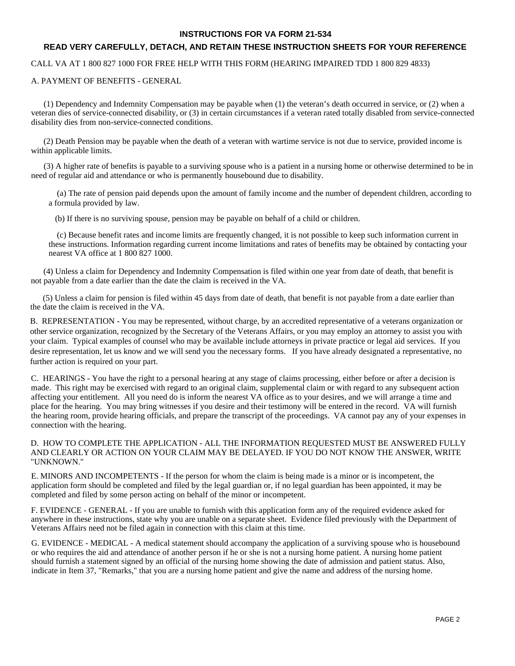#### **INSTRUCTIONS FOR VA FORM 21-534**

## **READ VERY CAREFULLY, DETACH, AND RETAIN THESE INSTRUCTION SHEETS FOR YOUR REFERENCE**

CALL VA AT 1 800 827 1000 FOR FREE HELP WITH THIS FORM (HEARING IMPAIRED TDD 1 800 829 4833)

A. PAYMENT OF BENEFITS - GENERAL

 (1) Dependency and Indemnity Compensation may be payable when (1) the veteran's death occurred in service, or (2) when a veteran dies of service-connected disability, or (3) in certain circumstances if a veteran rated totally disabled from service-connected disability dies from non-service-connected conditions.

 (2) Death Pension may be payable when the death of a veteran with wartime service is not due to service, provided income is within applicable limits.

 (3) A higher rate of benefits is payable to a surviving spouse who is a patient in a nursing home or otherwise determined to be in need of regular aid and attendance or who is permanently housebound due to disability.

 (a) The rate of pension paid depends upon the amount of family income and the number of dependent children, according to a formula provided by law.

(b) If there is no surviving spouse, pension may be payable on behalf of a child or children.

 (c) Because benefit rates and income limits are frequently changed, it is not possible to keep such information current in these instructions. Information regarding current income limitations and rates of benefits may be obtained by contacting your nearest VA office at 1 800 827 1000.

 (4) Unless a claim for Dependency and Indemnity Compensation is filed within one year from date of death, that benefit is not payable from a date earlier than the date the claim is received in the VA.

 (5) Unless a claim for pension is filed within 45 days from date of death, that benefit is not payable from a date earlier than the date the claim is received in the VA.

B. REPRESENTATION - You may be represented, without charge, by an accredited representative of a veterans organization or other service organization, recognized by the Secretary of the Veterans Affairs, or you may employ an attorney to assist you with your claim. Typical examples of counsel who may be available include attorneys in private practice or legal aid services. If you desire representation, let us know and we will send you the necessary forms. If you have already designated a representative, no further action is required on your part.

C. HEARINGS - You have the right to a personal hearing at any stage of claims processing, either before or after a decision is made. This right may be exercised with regard to an original claim, supplemental claim or with regard to any subsequent action affecting your entitlement. All you need do is inform the nearest VA office as to your desires, and we will arrange a time and place for the hearing. You may bring witnesses if you desire and their testimony will be entered in the record. VA will furnish the hearing room, provide hearing officials, and prepare the transcript of the proceedings. VA cannot pay any of your expenses in connection with the hearing.

D. HOW TO COMPLETE THE APPLICATION - ALL THE INFORMATION REQUESTED MUST BE ANSWERED FULLY AND CLEARLY OR ACTION ON YOUR CLAIM MAY BE DELAYED. IF YOU DO NOT KNOW THE ANSWER, WRITE "UNKNOWN."

E. MINORS AND INCOMPETENTS - If the person for whom the claim is being made is a minor or is incompetent, the application form should be completed and filed by the legal guardian or, if no legal guardian has been appointed, it may be completed and filed by some person acting on behalf of the minor or incompetent.

F. EVIDENCE - GENERAL - If you are unable to furnish with this application form any of the required evidence asked for anywhere in these instructions, state why you are unable on a separate sheet. Evidence filed previously with the Department of Veterans Affairs need not be filed again in connection with this claim at this time.

G. EVIDENCE - MEDICAL - A medical statement should accompany the application of a surviving spouse who is housebound or who requires the aid and attendance of another person if he or she is not a nursing home patient. A nursing home patient should furnish a statement signed by an official of the nursing home showing the date of admission and patient status. Also, indicate in Item 37, "Remarks," that you are a nursing home patient and give the name and address of the nursing home.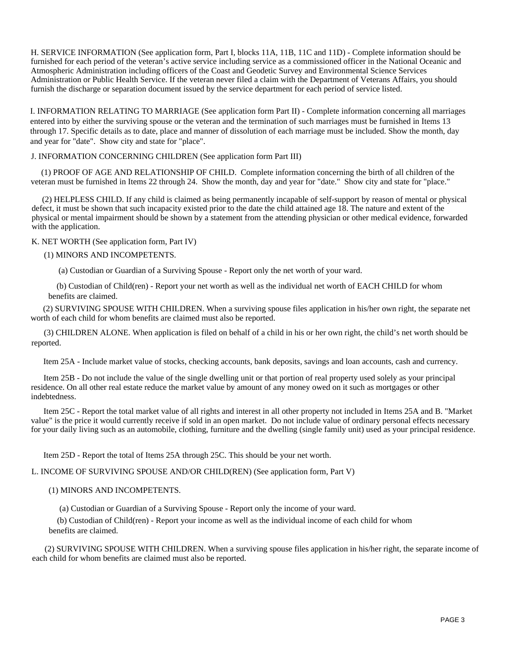H. SERVICE INFORMATION (See application form, Part I, blocks 11A, 11B, 11C and 11D) - Complete information should be furnished for each period of the veteran's active service including service as a commissioned officer in the National Oceanic and Atmospheric Administration including officers of the Coast and Geodetic Survey and Environmental Science Services Administration or Public Health Service. If the veteran never filed a claim with the Department of Veterans Affairs, you should furnish the discharge or separation document issued by the service department for each period of service listed.

I. INFORMATION RELATING TO MARRIAGE (See application form Part II) - Complete information concerning all marriages entered into by either the surviving spouse or the veteran and the termination of such marriages must be furnished in Items 13 through 17. Specific details as to date, place and manner of dissolution of each marriage must be included. Show the month, day and year for "date". Show city and state for "place".

#### J. INFORMATION CONCERNING CHILDREN (See application form Part III)

 (1) PROOF OF AGE AND RELATIONSHIP OF CHILD. Complete information concerning the birth of all children of the veteran must be furnished in Items 22 through 24. Show the month, day and year for "date." Show city and state for "place."

 (2) HELPLESS CHILD. If any child is claimed as being permanently incapable of self-support by reason of mental or physical defect, it must be shown that such incapacity existed prior to the date the child attained age 18. The nature and extent of the physical or mental impairment should be shown by a statement from the attending physician or other medical evidence, forwarded with the application.

K. NET WORTH (See application form, Part IV)

#### (1) MINORS AND INCOMPETENTS.

(a) Custodian or Guardian of a Surviving Spouse - Report only the net worth of your ward.

 (b) Custodian of Child(ren) - Report your net worth as well as the individual net worth of EACH CHILD for whom benefits are claimed.

 (2) SURVIVING SPOUSE WITH CHILDREN. When a surviving spouse files application in his/her own right, the separate net worth of each child for whom benefits are claimed must also be reported.

 (3) CHILDREN ALONE. When application is filed on behalf of a child in his or her own right, the child's net worth should be reported.

Item 25A - Include market value of stocks, checking accounts, bank deposits, savings and loan accounts, cash and currency.

 Item 25B - Do not include the value of the single dwelling unit or that portion of real property used solely as your principal residence. On all other real estate reduce the market value by amount of any money owed on it such as mortgages or other indebtedness.

 Item 25C - Report the total market value of all rights and interest in all other property not included in Items 25A and B. "Market value" is the price it would currently receive if sold in an open market. Do not include value of ordinary personal effects necessary for your daily living such as an automobile, clothing, furniture and the dwelling (single family unit) used as your principal residence.

Item 25D - Report the total of Items 25A through 25C. This should be your net worth.

L. INCOME OF SURVIVING SPOUSE AND/OR CHILD(REN) (See application form, Part V)

#### (1) MINORS AND INCOMPETENTS.

(a) Custodian or Guardian of a Surviving Spouse - Report only the income of your ward.

 (b) Custodian of Child(ren) - Report your income as well as the individual income of each child for whom benefits are claimed.

 (2) SURVIVING SPOUSE WITH CHILDREN. When a surviving spouse files application in his/her right, the separate income of each child for whom benefits are claimed must also be reported.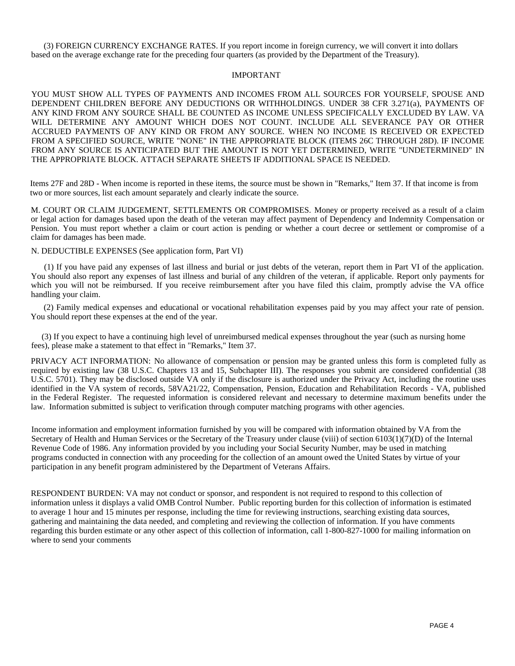(3) FOREIGN CURRENCY EXCHANGE RATES. If you report income in foreign currency, we will convert it into dollars based on the average exchange rate for the preceding four quarters (as provided by the Department of the Treasury).

#### IMPORTANT

YOU MUST SHOW ALL TYPES OF PAYMENTS AND INCOMES FROM ALL SOURCES FOR YOURSELF, SPOUSE AND DEPENDENT CHILDREN BEFORE ANY DEDUCTIONS OR WITHHOLDINGS. UNDER 38 CFR 3.271(a), PAYMENTS OF ANY KIND FROM ANY SOURCE SHALL BE COUNTED AS INCOME UNLESS SPECIFICALLY EXCLUDED BY LAW. VA WILL DETERMINE ANY AMOUNT WHICH DOES NOT COUNT. INCLUDE ALL SEVERANCE PAY OR OTHER ACCRUED PAYMENTS OF ANY KIND OR FROM ANY SOURCE. WHEN NO INCOME IS RECEIVED OR EXPECTED FROM A SPECIFIED SOURCE, WRITE "NONE" IN THE APPROPRIATE BLOCK (ITEMS 26C THROUGH 28D). IF INCOME FROM ANY SOURCE IS ANTICIPATED BUT THE AMOUNT IS NOT YET DETERMINED, WRITE "UNDETERMINED" IN THE APPROPRIATE BLOCK. ATTACH SEPARATE SHEETS IF ADDITIONAL SPACE IS NEEDED.

Items 27F and 28D - When income is reported in these items, the source must be shown in "Remarks," Item 37. If that income is from two or more sources, list each amount separately and clearly indicate the source.

M. COURT OR CLAIM JUDGEMENT, SETTLEMENTS OR COMPROMISES. Money or property received as a result of a claim or legal action for damages based upon the death of the veteran may affect payment of Dependency and Indemnity Compensation or Pension. You must report whether a claim or court action is pending or whether a court decree or settlement or compromise of a claim for damages has been made.

N. DEDUCTIBLE EXPENSES (See application form, Part VI)

(1) If you have paid any expenses of last illness and burial or just debts of the veteran, report them in Part VI of the application. You should also report any expenses of last illness and burial of any children of the veteran, if applicable. Report only payments for which you will not be reimbursed. If you receive reimbursement after you have filed this claim, promptly advise the VA office handling your claim.

(2) Family medical expenses and educational or vocational rehabilitation expenses paid by you may affect your rate of pension. You should report these expenses at the end of the year.

 (3) If you expect to have a continuing high level of unreimbursed medical expenses throughout the year (such as nursing home fees), please make a statement to that effect in "Remarks," Item 37.

PRIVACY ACT INFORMATION: No allowance of compensation or pension may be granted unless this form is completed fully as required by existing law (38 U.S.C. Chapters 13 and 15, Subchapter III). The responses you submit are considered confidential (38 U.S.C. 5701). They may be disclosed outside VA only if the disclosure is authorized under the Privacy Act, including the routine uses identified in the VA system of records, 58VA21/22, Compensation, Pension, Education and Rehabilitation Records - VA, published in the Federal Register. The requested information is considered relevant and necessary to determine maximum benefits under the law. Information submitted is subject to verification through computer matching programs with other agencies.

Income information and employment information furnished by you will be compared with information obtained by VA from the Secretary of Health and Human Services or the Secretary of the Treasury under clause (viii) of section 6103(1)(7)(D) of the Internal Revenue Code of 1986. Any information provided by you including your Social Security Number, may be used in matching programs conducted in connection with any proceeding for the collection of an amount owed the United States by virtue of your participation in any benefit program administered by the Department of Veterans Affairs.

RESPONDENT BURDEN: VA may not conduct or sponsor, and respondent is not required to respond to this collection of information unless it displays a valid OMB Control Number. Public reporting burden for this collection of information is estimated to average 1 hour and 15 minutes per response, including the time for reviewing instructions, searching existing data sources, gathering and maintaining the data needed, and completing and reviewing the collection of information. If you have comments regarding this burden estimate or any other aspect of this collection of information, call 1-800-827-1000 for mailing information on where to send your comments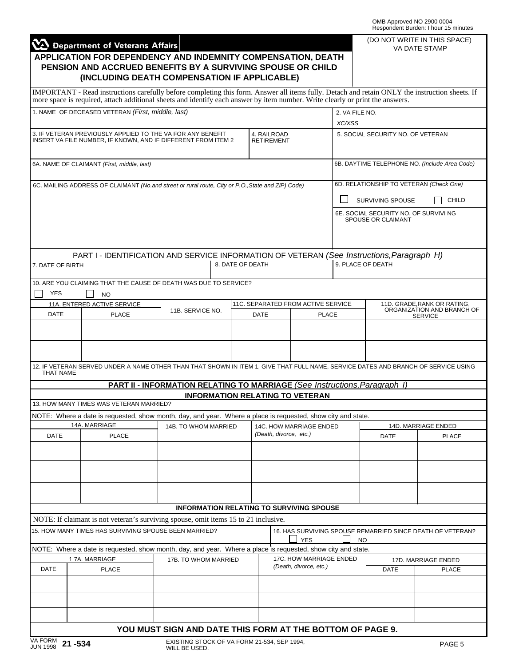|                  |                                                                                                                                                                                                                                                                                 |                                                                                   |                  |                                        |                                                 |                | OMB Approved NO 2900 0004               | Respondent Burden: I hour 15 minutes                       |  |
|------------------|---------------------------------------------------------------------------------------------------------------------------------------------------------------------------------------------------------------------------------------------------------------------------------|-----------------------------------------------------------------------------------|------------------|----------------------------------------|-------------------------------------------------|----------------|-----------------------------------------|------------------------------------------------------------|--|
|                  | Department of Veterans Affairs                                                                                                                                                                                                                                                  |                                                                                   |                  |                                        |                                                 |                |                                         | (DO NOT WRITE IN THIS SPACE)<br><b>VA DATE STAMP</b>       |  |
|                  | APPLICATION FOR DEPENDENCY AND INDEMNITY COMPENSATION, DEATH                                                                                                                                                                                                                    |                                                                                   |                  |                                        |                                                 |                |                                         |                                                            |  |
|                  | PENSION AND ACCRUED BENEFITS BY A SURVIVING SPOUSE OR CHILD<br>(INCLUDING DEATH COMPENSATION IF APPLICABLE)                                                                                                                                                                     |                                                                                   |                  |                                        |                                                 |                |                                         |                                                            |  |
|                  | IMPORTANT - Read instructions carefully before completing this form. Answer all items fully. Detach and retain ONLY the instruction sheets. If<br>more space is required, attach additional sheets and identify each answer by item number. Write clearly or print the answers. |                                                                                   |                  |                                        |                                                 |                |                                         |                                                            |  |
|                  | 1. NAME OF DECEASED VETERAN (First, middle, last)                                                                                                                                                                                                                               |                                                                                   |                  |                                        |                                                 | 2. VA FILE NO. |                                         |                                                            |  |
|                  |                                                                                                                                                                                                                                                                                 |                                                                                   |                  |                                        |                                                 | XC/XSS         |                                         |                                                            |  |
|                  | 3. IF VETERAN PREVIOUSLY APPLIED TO THE VA FOR ANY BENEFIT<br>INSERT VA FILE NUMBER, IF KNOWN, AND IF DIFFERENT FROM ITEM 2                                                                                                                                                     |                                                                                   |                  | 4. RAILROAD<br><b>RETIREMENT</b>       |                                                 |                | 5. SOCIAL SECURITY NO. OF VETERAN       |                                                            |  |
|                  | 6A. NAME OF CLAIMANT (First, middle, last)                                                                                                                                                                                                                                      |                                                                                   |                  |                                        |                                                 |                |                                         | 6B. DAYTIME TELEPHONE NO. (Include Area Code)              |  |
|                  | 6C. MAILING ADDRESS OF CLAIMANT (No.and street or rural route, City or P.O., State and ZIP) Code)                                                                                                                                                                               |                                                                                   |                  |                                        |                                                 |                | 6D. RELATIONSHIP TO VETERAN (Check One) |                                                            |  |
|                  |                                                                                                                                                                                                                                                                                 |                                                                                   |                  |                                        |                                                 |                | SURVIVING SPOUSE                        | CHILD                                                      |  |
|                  |                                                                                                                                                                                                                                                                                 |                                                                                   |                  |                                        |                                                 |                | 6E. SOCIAL SECURITY NO. OF SURVIVI NG   |                                                            |  |
|                  |                                                                                                                                                                                                                                                                                 |                                                                                   |                  |                                        |                                                 |                | SPOUSE OR CLAIMANT                      |                                                            |  |
|                  | PART I - IDENTIFICATION AND SERVICE INFORMATION OF VETERAN (See Instructions, Paragraph H)                                                                                                                                                                                      |                                                                                   |                  |                                        |                                                 |                |                                         |                                                            |  |
| 7. DATE OF BIRTH |                                                                                                                                                                                                                                                                                 |                                                                                   | 8. DATE OF DEATH |                                        |                                                 |                | 9. PLACE OF DEATH                       |                                                            |  |
|                  | 10. ARE YOU CLAIMING THAT THE CAUSE OF DEATH WAS DUE TO SERVICE?                                                                                                                                                                                                                |                                                                                   |                  |                                        |                                                 |                |                                         |                                                            |  |
| <b>YES</b>       | NO                                                                                                                                                                                                                                                                              |                                                                                   |                  |                                        |                                                 |                |                                         |                                                            |  |
| <b>DATE</b>      | 11A. ENTERED ACTIVE SERVICE                                                                                                                                                                                                                                                     | 11B. SERVICE NO.                                                                  |                  |                                        | 11C. SEPARATED FROM ACTIVE SERVICE              |                |                                         | 11D. GRADE, RANK OR RATING,<br>ORGANIZATION AND BRANCH OF  |  |
|                  | <b>PLACE</b>                                                                                                                                                                                                                                                                    |                                                                                   |                  |                                        | <b>PLACE</b><br><b>DATE</b>                     |                | <b>SERVICE</b>                          |                                                            |  |
|                  |                                                                                                                                                                                                                                                                                 |                                                                                   |                  |                                        |                                                 |                |                                         |                                                            |  |
|                  |                                                                                                                                                                                                                                                                                 |                                                                                   |                  |                                        |                                                 |                |                                         |                                                            |  |
| <b>THAT NAME</b> | 12. IF VETERAN SERVED UNDER A NAME OTHER THAN THAT SHOWN IN ITEM 1, GIVE THAT FULL NAME, SERVICE DATES AND BRANCH OF SERVICE USING                                                                                                                                              |                                                                                   |                  |                                        |                                                 |                |                                         |                                                            |  |
|                  |                                                                                                                                                                                                                                                                                 | <b>PART II - INFORMATION RELATING TO MARRIAGE (See Instructions, Paragraph 1)</b> |                  |                                        |                                                 |                |                                         |                                                            |  |
|                  | 13. HOW MANY TIMES WAS VETERAN MARRIED?                                                                                                                                                                                                                                         |                                                                                   |                  | <b>INFORMATION RELATING TO VETERAN</b> |                                                 |                |                                         |                                                            |  |
|                  | NOTE: Where a date is requested, show month, day, and year. Where a place is requested, show city and state.                                                                                                                                                                    |                                                                                   |                  |                                        |                                                 |                |                                         |                                                            |  |
|                  | 14A. MARRIAGE                                                                                                                                                                                                                                                                   | 14B. TO WHOM MARRIED                                                              |                  |                                        | 14C. HOW MARRIAGE ENDED                         |                |                                         | 14D. MARRIAGE ENDED                                        |  |
| DATE             | <b>PLACE</b>                                                                                                                                                                                                                                                                    |                                                                                   |                  | (Death, divorce, etc.)                 |                                                 |                | DATE                                    | <b>PLACE</b>                                               |  |
|                  |                                                                                                                                                                                                                                                                                 |                                                                                   |                  |                                        |                                                 |                |                                         |                                                            |  |
|                  |                                                                                                                                                                                                                                                                                 |                                                                                   |                  |                                        |                                                 |                |                                         |                                                            |  |
|                  |                                                                                                                                                                                                                                                                                 |                                                                                   |                  |                                        | <b>INFORMATION RELATING TO SURVIVING SPOUSE</b> |                |                                         |                                                            |  |
|                  | NOTE: If claimant is not veteran's surviving spouse, omit items 15 to 21 inclusive.                                                                                                                                                                                             |                                                                                   |                  |                                        |                                                 |                |                                         |                                                            |  |
|                  | 15. HOW MANY TIMES HAS SURVIVING SPOUSE BEEN MARRIED?                                                                                                                                                                                                                           |                                                                                   |                  |                                        | <b>YES</b>                                      |                | <b>NO</b>                               | 16. HAS SURVIVING SPOUSE REMARRIED SINCE DEATH OF VETERAN? |  |
|                  | NOTE: Where a date is requested, show month, day, and year. Where a place is requested, show city and state.                                                                                                                                                                    |                                                                                   |                  |                                        |                                                 |                |                                         |                                                            |  |
|                  | 17A. MARRIAGE                                                                                                                                                                                                                                                                   | 17B. TO WHOM MARRIED                                                              |                  |                                        | 17C. HOW MARRIAGE ENDED                         |                |                                         | 17D. MARRIAGE ENDED                                        |  |
| <b>DATE</b>      | <b>PLACE</b>                                                                                                                                                                                                                                                                    |                                                                                   |                  |                                        | (Death, divorce, etc.)                          |                | <b>DATE</b>                             | <b>PLACE</b>                                               |  |
|                  |                                                                                                                                                                                                                                                                                 |                                                                                   |                  |                                        |                                                 |                |                                         |                                                            |  |
|                  |                                                                                                                                                                                                                                                                                 |                                                                                   |                  |                                        |                                                 |                |                                         |                                                            |  |
|                  |                                                                                                                                                                                                                                                                                 |                                                                                   |                  |                                        |                                                 |                |                                         |                                                            |  |
|                  |                                                                                                                                                                                                                                                                                 |                                                                                   |                  |                                        |                                                 |                |                                         |                                                            |  |
|                  |                                                                                                                                                                                                                                                                                 | YOU MUST SIGN AND DATE THIS FORM AT THE BOTTOM OF PAGE 9.                         |                  |                                        |                                                 |                |                                         |                                                            |  |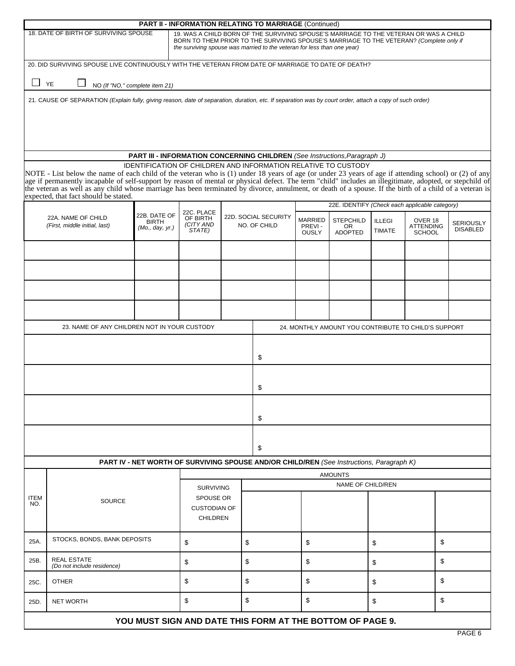|                    |                                                                                                                                                                                                                                                                                                                                                                                                                                                                                                                        |                                                 |                                                     | <b>PART II - INFORMATION RELATING TO MARRIAGE (Continued)</b>                                                                                                                                                                                               |                                          |                                           |                                |                                                      |                                     |
|--------------------|------------------------------------------------------------------------------------------------------------------------------------------------------------------------------------------------------------------------------------------------------------------------------------------------------------------------------------------------------------------------------------------------------------------------------------------------------------------------------------------------------------------------|-------------------------------------------------|-----------------------------------------------------|-------------------------------------------------------------------------------------------------------------------------------------------------------------------------------------------------------------------------------------------------------------|------------------------------------------|-------------------------------------------|--------------------------------|------------------------------------------------------|-------------------------------------|
|                    | 18. DATE OF BIRTH OF SURVIVING SPOUSE                                                                                                                                                                                                                                                                                                                                                                                                                                                                                  |                                                 |                                                     | 19. WAS A CHILD BORN OF THE SURVIVING SPOUSE'S MARRIAGE TO THE VETERAN OR WAS A CHILD<br>BORN TO THEM PRIOR TO THE SURVIVING SPOUSE'S MARRIAGE TO THE VETERAN? (Complete only if<br>the surviving spouse was married to the veteran for less than one year) |                                          |                                           |                                |                                                      |                                     |
|                    | 20. DID SURVIVING SPOUSE LIVE CONTINUOUSLY WITH THE VETERAN FROM DATE OF MARRIAGE TO DATE OF DEATH?                                                                                                                                                                                                                                                                                                                                                                                                                    |                                                 |                                                     |                                                                                                                                                                                                                                                             |                                          |                                           |                                |                                                      |                                     |
| $\Box$ YE          |                                                                                                                                                                                                                                                                                                                                                                                                                                                                                                                        | NO (If "NO," complete item 21)                  |                                                     |                                                                                                                                                                                                                                                             |                                          |                                           |                                |                                                      |                                     |
|                    | 21. CAUSE OF SEPARATION (Explain fully, giving reason, date of separation, duration, etc. If separation was by court order, attach a copy of such order)                                                                                                                                                                                                                                                                                                                                                               |                                                 |                                                     |                                                                                                                                                                                                                                                             |                                          |                                           |                                |                                                      |                                     |
|                    |                                                                                                                                                                                                                                                                                                                                                                                                                                                                                                                        |                                                 |                                                     | PART III - INFORMATION CONCERNING CHILDREN (See Instructions, Paragraph J)                                                                                                                                                                                  |                                          |                                           |                                |                                                      |                                     |
|                    | NOTE - List below the name of each child of the veteran who is (1) under 18 years of age (or under 23 years of age if attending school) or (2) of any<br>age if permanently incapable of self-support by reason of mental or physical defect. The term "child" includes an illegitimate, adopted, or stepchild of<br>the veteran as well as any child whose marriage has been terminated by divorce, annulment, or death of a spouse. If the birth of a child of a veteran is<br>expected, that fact should be stated. |                                                 |                                                     | IDENTIFICATION OF CHILDREN AND INFORMATION RELATIVE TO CUSTODY                                                                                                                                                                                              |                                          |                                           |                                |                                                      |                                     |
|                    |                                                                                                                                                                                                                                                                                                                                                                                                                                                                                                                        |                                                 | 22C. PLACE                                          |                                                                                                                                                                                                                                                             |                                          |                                           |                                | 22E. IDENTIFY (Check each applicable category)       |                                     |
|                    | 22A. NAME OF CHILD<br>(First, middle initial, last)                                                                                                                                                                                                                                                                                                                                                                                                                                                                    | 22B. DATE OF<br><b>BIRTH</b><br>(Mo., day, yr.) | OF BIRTH<br>(CITY AND<br>STATE)                     | 22D. SOCIAL SECURITY<br>NO. OF CHILD                                                                                                                                                                                                                        | <b>MARRIED</b><br>PREVI-<br><b>OUSLY</b> | <b>STEPCHILD</b><br>OR.<br><b>ADOPTED</b> | <b>ILLEGI</b><br><b>TIMATE</b> | OVER 18<br><b>ATTENDING</b><br><b>SCHOOL</b>         | <b>SERIOUSLY</b><br><b>DISABLED</b> |
|                    |                                                                                                                                                                                                                                                                                                                                                                                                                                                                                                                        |                                                 |                                                     |                                                                                                                                                                                                                                                             |                                          |                                           |                                |                                                      |                                     |
|                    |                                                                                                                                                                                                                                                                                                                                                                                                                                                                                                                        |                                                 |                                                     |                                                                                                                                                                                                                                                             |                                          |                                           |                                |                                                      |                                     |
|                    |                                                                                                                                                                                                                                                                                                                                                                                                                                                                                                                        |                                                 |                                                     |                                                                                                                                                                                                                                                             |                                          |                                           |                                |                                                      |                                     |
|                    | 23. NAME OF ANY CHILDREN NOT IN YOUR CUSTODY                                                                                                                                                                                                                                                                                                                                                                                                                                                                           |                                                 |                                                     |                                                                                                                                                                                                                                                             |                                          |                                           |                                | 24. MONTHLY AMOUNT YOU CONTRIBUTE TO CHILD'S SUPPORT |                                     |
|                    |                                                                                                                                                                                                                                                                                                                                                                                                                                                                                                                        |                                                 |                                                     | \$                                                                                                                                                                                                                                                          |                                          |                                           |                                |                                                      |                                     |
|                    |                                                                                                                                                                                                                                                                                                                                                                                                                                                                                                                        |                                                 |                                                     | \$                                                                                                                                                                                                                                                          |                                          |                                           |                                |                                                      |                                     |
|                    |                                                                                                                                                                                                                                                                                                                                                                                                                                                                                                                        |                                                 |                                                     | \$                                                                                                                                                                                                                                                          |                                          |                                           |                                |                                                      |                                     |
|                    |                                                                                                                                                                                                                                                                                                                                                                                                                                                                                                                        |                                                 |                                                     |                                                                                                                                                                                                                                                             |                                          |                                           |                                |                                                      |                                     |
|                    |                                                                                                                                                                                                                                                                                                                                                                                                                                                                                                                        |                                                 |                                                     | \$<br>PART IV - NET WORTH OF SURVIVING SPOUSE AND/OR CHILD/REN (See Instructions, Paragraph K)                                                                                                                                                              |                                          |                                           |                                |                                                      |                                     |
|                    |                                                                                                                                                                                                                                                                                                                                                                                                                                                                                                                        |                                                 |                                                     |                                                                                                                                                                                                                                                             |                                          | <b>AMOUNTS</b>                            |                                |                                                      |                                     |
|                    |                                                                                                                                                                                                                                                                                                                                                                                                                                                                                                                        |                                                 | <b>SURVIVING</b>                                    |                                                                                                                                                                                                                                                             |                                          | NAME OF CHILD/REN                         |                                |                                                      |                                     |
| <b>ITEM</b><br>NO. | <b>SOURCE</b>                                                                                                                                                                                                                                                                                                                                                                                                                                                                                                          |                                                 | SPOUSE OR<br><b>CUSTODIAN OF</b><br><b>CHILDREN</b> |                                                                                                                                                                                                                                                             |                                          |                                           |                                |                                                      |                                     |
| 25A.               | STOCKS, BONDS, BANK DEPOSITS                                                                                                                                                                                                                                                                                                                                                                                                                                                                                           |                                                 | \$                                                  | \$                                                                                                                                                                                                                                                          | \$                                       |                                           | \$                             | \$                                                   |                                     |
| 25B.               | <b>REAL ESTATE</b><br>(Do not include residence)                                                                                                                                                                                                                                                                                                                                                                                                                                                                       |                                                 | \$                                                  | \$                                                                                                                                                                                                                                                          | \$                                       |                                           | \$                             | \$                                                   |                                     |
| 25C.               | <b>OTHER</b>                                                                                                                                                                                                                                                                                                                                                                                                                                                                                                           |                                                 | \$                                                  | \$                                                                                                                                                                                                                                                          | \$                                       |                                           | \$                             | \$                                                   |                                     |
| 25D.               | <b>NET WORTH</b>                                                                                                                                                                                                                                                                                                                                                                                                                                                                                                       |                                                 | \$                                                  | \$                                                                                                                                                                                                                                                          | \$                                       |                                           | \$                             | \$                                                   |                                     |
|                    |                                                                                                                                                                                                                                                                                                                                                                                                                                                                                                                        |                                                 |                                                     | YOU MUST SIGN AND DATE THIS FORM AT THE BOTTOM OF PAGE 9.                                                                                                                                                                                                   |                                          |                                           |                                |                                                      |                                     |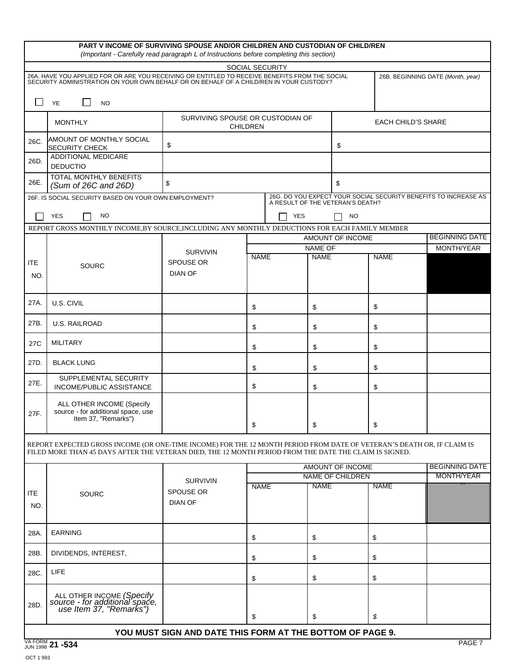|                   |                                                                                                                                                                                                                                  | PART V INCOME OF SURVIVING SPOUSE AND/OR CHILDREN AND CUSTODIAN OF CHILD/REN<br>(Important - Carefully read paragraph L of Instructions before completing this section) |             |                                  |                         |                           |                                                                 |
|-------------------|----------------------------------------------------------------------------------------------------------------------------------------------------------------------------------------------------------------------------------|-------------------------------------------------------------------------------------------------------------------------------------------------------------------------|-------------|----------------------------------|-------------------------|---------------------------|-----------------------------------------------------------------|
|                   |                                                                                                                                                                                                                                  |                                                                                                                                                                         |             | SOCIAL SECURITY                  |                         |                           |                                                                 |
|                   | 26A. HAVE YOU APPLIED FOR OR ARE YOU RECEIVING OR ENTITLED TO RECEIVE BENEFITS FROM THE SOCIAL<br>SECURITY ADMINISTRATION ON YOUR OWN BEHALF OR ON BEHALF OF A CHILD/REN IN YOUR CUSTODY?                                        |                                                                                                                                                                         |             |                                  |                         |                           | 26B. BEGINNING DATE (Month, year)                               |
| $\sqcup$          | YE<br><b>NO</b>                                                                                                                                                                                                                  |                                                                                                                                                                         |             |                                  |                         |                           |                                                                 |
|                   | <b>MONTHLY</b>                                                                                                                                                                                                                   | SURVIVING SPOUSE OR CUSTODIAN OF<br><b>CHILDREN</b>                                                                                                                     |             |                                  |                         | <b>EACH CHILD'S SHARE</b> |                                                                 |
| 26C.              | AMOUNT OF MONTHLY SOCIAL<br><b>SECURITY CHECK</b>                                                                                                                                                                                | \$                                                                                                                                                                      |             |                                  | \$                      |                           |                                                                 |
| 26D.              | ADDITIONAL MEDICARE<br><b>DEDUCTIO</b>                                                                                                                                                                                           |                                                                                                                                                                         |             |                                  |                         |                           |                                                                 |
| 26E.              | TOTAL MONTHLY BENEFITS<br>(Sum of 26C and 26D)                                                                                                                                                                                   | \$                                                                                                                                                                      |             |                                  | \$                      |                           |                                                                 |
|                   | 26F. IS SOCIAL SECURITY BASED ON YOUR OWN EMPLOYMENT?                                                                                                                                                                            |                                                                                                                                                                         |             | A RESULT OF THE VETERAN'S DEATH? |                         |                           | 26G. DO YOU EXPECT YOUR SOCIAL SECURITY BENEFITS TO INCREASE AS |
|                   | <b>YES</b><br><b>NO</b>                                                                                                                                                                                                          |                                                                                                                                                                         |             | <b>YES</b>                       | <b>NO</b>               |                           |                                                                 |
|                   | REPORT GROSS MONTHLY INCOME.BY SOURCE.INCLUDING ANY MONTHLY DEDUCTIONS FOR EACH FAMILY MEMBER                                                                                                                                    |                                                                                                                                                                         |             |                                  |                         |                           |                                                                 |
|                   |                                                                                                                                                                                                                                  |                                                                                                                                                                         |             |                                  | AMOUNT OF INCOME        |                           | <b>BEGINNING DATE</b>                                           |
|                   |                                                                                                                                                                                                                                  | <b>SURVIVIN</b>                                                                                                                                                         | <b>NAME</b> | NAME OF<br><b>NAME</b>           |                         | <b>NAME</b>               | MONTH/YEAR                                                      |
| ITE               | SOURC                                                                                                                                                                                                                            | <b>SPOUSE OR</b>                                                                                                                                                        |             |                                  |                         |                           |                                                                 |
| NO.               |                                                                                                                                                                                                                                  | <b>DIAN OF</b>                                                                                                                                                          |             |                                  |                         |                           |                                                                 |
| 27A.              | U.S. CIVIL                                                                                                                                                                                                                       |                                                                                                                                                                         | \$          | \$                               |                         | \$                        |                                                                 |
| 27B.              | <b>U.S. RAILROAD</b>                                                                                                                                                                                                             |                                                                                                                                                                         | \$          | \$                               |                         | \$                        |                                                                 |
| 27C               | <b>MILITARY</b>                                                                                                                                                                                                                  |                                                                                                                                                                         | \$          | \$                               |                         | \$                        |                                                                 |
| 27D.              | <b>BLACK LUNG</b>                                                                                                                                                                                                                |                                                                                                                                                                         | \$          | \$                               |                         | \$                        |                                                                 |
| 27E.              | SUPPLEMENTAL SECURITY<br>INCOME/PUBLIC ASSISTANCE                                                                                                                                                                                |                                                                                                                                                                         | \$          | \$                               |                         | \$                        |                                                                 |
| 27F.              | ALL OTHER INCOME (Specify<br>source - for additional space, use<br>Item 37, "Remarks")                                                                                                                                           |                                                                                                                                                                         | \$          | \$                               |                         | \$                        |                                                                 |
|                   | REPORT EXPECTED GROSS INCOME (OR ONE-TIME INCOME) FOR THE 12 MONTH PERIOD FROM DATE OF VETERAN'S DEATH OR, IF CLAIM IS<br>FILED MORE THAN 45 DAYS AFTER THE VETERAN DIED, THE 12 MONTH PERIOD FROM THE DATE THE CLAIM IS SIGNED. |                                                                                                                                                                         |             |                                  |                         |                           |                                                                 |
|                   |                                                                                                                                                                                                                                  |                                                                                                                                                                         |             |                                  | AMOUNT OF INCOME        |                           | <b>BEGINNING DATE</b>                                           |
|                   |                                                                                                                                                                                                                                  | <b>SURVIVIN</b>                                                                                                                                                         |             |                                  | <b>NAME OF CHILDREN</b> |                           | MONTH/YEAR                                                      |
| <b>ITE</b><br>NO. | SOURC                                                                                                                                                                                                                            | SPOUSE OR<br><b>DIAN OF</b>                                                                                                                                             | <b>NAME</b> | <b>NAME</b>                      |                         | <b>NAME</b>               |                                                                 |
| 28A.              | <b>EARNING</b>                                                                                                                                                                                                                   |                                                                                                                                                                         | \$          | \$                               |                         | \$                        |                                                                 |
| 28B.              | DIVIDENDS, INTEREST,                                                                                                                                                                                                             |                                                                                                                                                                         | \$          | \$                               |                         | \$                        |                                                                 |
| 28C.              | <b>LIFE</b>                                                                                                                                                                                                                      |                                                                                                                                                                         | \$          | \$                               |                         | \$                        |                                                                 |
| 28D.              | ALL OTHER INCOME (Specify<br>source - for additional space,<br>use Item 37, "Remarks")                                                                                                                                           |                                                                                                                                                                         | \$          | \$                               |                         | \$                        |                                                                 |
|                   |                                                                                                                                                                                                                                  |                                                                                                                                                                         |             |                                  |                         |                           |                                                                 |
|                   |                                                                                                                                                                                                                                  | YOU MUST SIGN AND DATE THIS FORM AT THE BOTTOM OF PAGE 9.                                                                                                               |             |                                  |                         |                           |                                                                 |
|                   | VA FORM 21 -534                                                                                                                                                                                                                  |                                                                                                                                                                         |             |                                  |                         |                           | PAGE 7                                                          |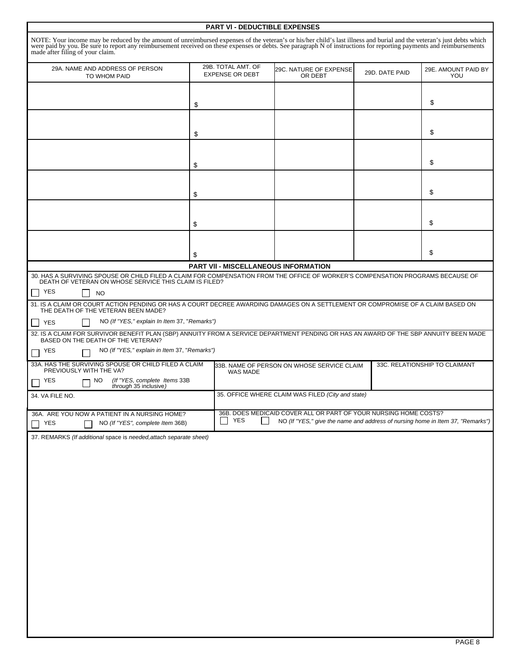| NOTE: Your income may be reduced by the amount of unreimbursed expenses of the veteran's or his/her child's last illness and burial and the veteran's just debts which<br>were paid by you. Be sure to report any reimbursement received on these expenses or debts. See paragraph N of instructions for reporting payments and reimbursements<br>29B. TOTAL AMT. OF<br>29A. NAME AND ADDRESS OF PERSON<br>29C. NATURE OF EXPENSE<br>29D. DATE PAID<br><b>EXPENSE OR DEBT</b><br>OR DEBT<br>YOU<br>TO WHOM PAID<br>\$<br>\$<br>\$<br>\$<br>\$<br>\$<br>\$<br>\$<br>\$<br>\$<br>\$<br>\$<br>PART VII - MISCELLANEOUS INFORMATION<br>30. HAS A SURVIVING SPOUSE OR CHILD FILED A CLAIM FOR COMPENSATION FROM THE OFFICE OF WORKER'S COMPENSATION PROGRAMS BECAUSE OF<br>DEATH OF VETERAN ON WHOSE SERVICE THIS CLAIM IS FILED?<br>YES<br><b>NO</b><br>31. IS A CLAIM OR COURT ACTION PENDING OR HAS A COURT DECREE AWARDING DAMAGES ON A SETTLEMENT OR COMPROMISE OF A CLAIM BASED ON<br>THE DEATH OF THE VETERAN BEEN MADE?<br>NO (If "YES," explain In Item 37, "Remarks")<br><b>YES</b><br>32. IS A CLAIM FOR SURVIVOR BENEFIT PLAN (SBP) ANNUITY FROM A SERVICE DEPARTMENT PENDING OR HAS AN AWARD OF THE SBP ANNUITY BEEN MADE<br>BASED ON THE DEATH OF THE VETERAN?<br>NO (If "YES," explain in Item 37, "Remarks")<br>YES<br>33A. HAS THE SURVIVING SPOUSE OR CHILD FILED A CLAIM<br>33C. RELATIONSHIP TO CLAIMANT<br>33B. NAME OF PERSON ON WHOSE SERVICE CLAIM<br>PREVIOUSLY WITH THE VA?<br>WAS MADE<br>(If "YES, complete Items 33B<br>through 35 inclusive)<br><b>YES</b><br>NO.<br>35. OFFICE WHERE CLAIM WAS FILED (City and state)<br>36B. DOES MEDICAID COVER ALL OR PART OF YOUR NURSING HOME COSTS?<br>36A. ARE YOU NOW A PATIENT IN A NURSING HOME?<br><b>YES</b><br>$\mathsf{L}$<br>NO (If "YES," give the name and address of nursing home in Item 37, "Remarks")<br>NO (If "YES", complete Item 36B)<br>YES<br>37. REMARKS (If additional space is needed, attach separate sheet) |                                  | <b>PART VI - DEDUCTIBLE EXPENSES</b> |  |                     |
|-------------------------------------------------------------------------------------------------------------------------------------------------------------------------------------------------------------------------------------------------------------------------------------------------------------------------------------------------------------------------------------------------------------------------------------------------------------------------------------------------------------------------------------------------------------------------------------------------------------------------------------------------------------------------------------------------------------------------------------------------------------------------------------------------------------------------------------------------------------------------------------------------------------------------------------------------------------------------------------------------------------------------------------------------------------------------------------------------------------------------------------------------------------------------------------------------------------------------------------------------------------------------------------------------------------------------------------------------------------------------------------------------------------------------------------------------------------------------------------------------------------------------------------------------------------------------------------------------------------------------------------------------------------------------------------------------------------------------------------------------------------------------------------------------------------------------------------------------------------------------------------------------------------------------------------------------------------------------------------------------------|----------------------------------|--------------------------------------|--|---------------------|
|                                                                                                                                                                                                                                                                                                                                                                                                                                                                                                                                                                                                                                                                                                                                                                                                                                                                                                                                                                                                                                                                                                                                                                                                                                                                                                                                                                                                                                                                                                                                                                                                                                                                                                                                                                                                                                                                                                                                                                                                       | made after filing of your claim. |                                      |  |                     |
|                                                                                                                                                                                                                                                                                                                                                                                                                                                                                                                                                                                                                                                                                                                                                                                                                                                                                                                                                                                                                                                                                                                                                                                                                                                                                                                                                                                                                                                                                                                                                                                                                                                                                                                                                                                                                                                                                                                                                                                                       |                                  |                                      |  | 29E. AMOUNT PAID BY |
|                                                                                                                                                                                                                                                                                                                                                                                                                                                                                                                                                                                                                                                                                                                                                                                                                                                                                                                                                                                                                                                                                                                                                                                                                                                                                                                                                                                                                                                                                                                                                                                                                                                                                                                                                                                                                                                                                                                                                                                                       |                                  |                                      |  |                     |
|                                                                                                                                                                                                                                                                                                                                                                                                                                                                                                                                                                                                                                                                                                                                                                                                                                                                                                                                                                                                                                                                                                                                                                                                                                                                                                                                                                                                                                                                                                                                                                                                                                                                                                                                                                                                                                                                                                                                                                                                       |                                  |                                      |  |                     |
|                                                                                                                                                                                                                                                                                                                                                                                                                                                                                                                                                                                                                                                                                                                                                                                                                                                                                                                                                                                                                                                                                                                                                                                                                                                                                                                                                                                                                                                                                                                                                                                                                                                                                                                                                                                                                                                                                                                                                                                                       |                                  |                                      |  |                     |
|                                                                                                                                                                                                                                                                                                                                                                                                                                                                                                                                                                                                                                                                                                                                                                                                                                                                                                                                                                                                                                                                                                                                                                                                                                                                                                                                                                                                                                                                                                                                                                                                                                                                                                                                                                                                                                                                                                                                                                                                       |                                  |                                      |  |                     |
|                                                                                                                                                                                                                                                                                                                                                                                                                                                                                                                                                                                                                                                                                                                                                                                                                                                                                                                                                                                                                                                                                                                                                                                                                                                                                                                                                                                                                                                                                                                                                                                                                                                                                                                                                                                                                                                                                                                                                                                                       |                                  |                                      |  |                     |
|                                                                                                                                                                                                                                                                                                                                                                                                                                                                                                                                                                                                                                                                                                                                                                                                                                                                                                                                                                                                                                                                                                                                                                                                                                                                                                                                                                                                                                                                                                                                                                                                                                                                                                                                                                                                                                                                                                                                                                                                       |                                  |                                      |  |                     |
|                                                                                                                                                                                                                                                                                                                                                                                                                                                                                                                                                                                                                                                                                                                                                                                                                                                                                                                                                                                                                                                                                                                                                                                                                                                                                                                                                                                                                                                                                                                                                                                                                                                                                                                                                                                                                                                                                                                                                                                                       |                                  |                                      |  |                     |
|                                                                                                                                                                                                                                                                                                                                                                                                                                                                                                                                                                                                                                                                                                                                                                                                                                                                                                                                                                                                                                                                                                                                                                                                                                                                                                                                                                                                                                                                                                                                                                                                                                                                                                                                                                                                                                                                                                                                                                                                       |                                  |                                      |  |                     |
|                                                                                                                                                                                                                                                                                                                                                                                                                                                                                                                                                                                                                                                                                                                                                                                                                                                                                                                                                                                                                                                                                                                                                                                                                                                                                                                                                                                                                                                                                                                                                                                                                                                                                                                                                                                                                                                                                                                                                                                                       |                                  |                                      |  |                     |
|                                                                                                                                                                                                                                                                                                                                                                                                                                                                                                                                                                                                                                                                                                                                                                                                                                                                                                                                                                                                                                                                                                                                                                                                                                                                                                                                                                                                                                                                                                                                                                                                                                                                                                                                                                                                                                                                                                                                                                                                       |                                  |                                      |  |                     |
|                                                                                                                                                                                                                                                                                                                                                                                                                                                                                                                                                                                                                                                                                                                                                                                                                                                                                                                                                                                                                                                                                                                                                                                                                                                                                                                                                                                                                                                                                                                                                                                                                                                                                                                                                                                                                                                                                                                                                                                                       |                                  |                                      |  |                     |
|                                                                                                                                                                                                                                                                                                                                                                                                                                                                                                                                                                                                                                                                                                                                                                                                                                                                                                                                                                                                                                                                                                                                                                                                                                                                                                                                                                                                                                                                                                                                                                                                                                                                                                                                                                                                                                                                                                                                                                                                       |                                  |                                      |  |                     |
|                                                                                                                                                                                                                                                                                                                                                                                                                                                                                                                                                                                                                                                                                                                                                                                                                                                                                                                                                                                                                                                                                                                                                                                                                                                                                                                                                                                                                                                                                                                                                                                                                                                                                                                                                                                                                                                                                                                                                                                                       |                                  |                                      |  |                     |
|                                                                                                                                                                                                                                                                                                                                                                                                                                                                                                                                                                                                                                                                                                                                                                                                                                                                                                                                                                                                                                                                                                                                                                                                                                                                                                                                                                                                                                                                                                                                                                                                                                                                                                                                                                                                                                                                                                                                                                                                       |                                  |                                      |  |                     |
|                                                                                                                                                                                                                                                                                                                                                                                                                                                                                                                                                                                                                                                                                                                                                                                                                                                                                                                                                                                                                                                                                                                                                                                                                                                                                                                                                                                                                                                                                                                                                                                                                                                                                                                                                                                                                                                                                                                                                                                                       |                                  |                                      |  |                     |
|                                                                                                                                                                                                                                                                                                                                                                                                                                                                                                                                                                                                                                                                                                                                                                                                                                                                                                                                                                                                                                                                                                                                                                                                                                                                                                                                                                                                                                                                                                                                                                                                                                                                                                                                                                                                                                                                                                                                                                                                       |                                  |                                      |  |                     |
|                                                                                                                                                                                                                                                                                                                                                                                                                                                                                                                                                                                                                                                                                                                                                                                                                                                                                                                                                                                                                                                                                                                                                                                                                                                                                                                                                                                                                                                                                                                                                                                                                                                                                                                                                                                                                                                                                                                                                                                                       |                                  |                                      |  |                     |
|                                                                                                                                                                                                                                                                                                                                                                                                                                                                                                                                                                                                                                                                                                                                                                                                                                                                                                                                                                                                                                                                                                                                                                                                                                                                                                                                                                                                                                                                                                                                                                                                                                                                                                                                                                                                                                                                                                                                                                                                       |                                  |                                      |  |                     |
|                                                                                                                                                                                                                                                                                                                                                                                                                                                                                                                                                                                                                                                                                                                                                                                                                                                                                                                                                                                                                                                                                                                                                                                                                                                                                                                                                                                                                                                                                                                                                                                                                                                                                                                                                                                                                                                                                                                                                                                                       |                                  |                                      |  |                     |
|                                                                                                                                                                                                                                                                                                                                                                                                                                                                                                                                                                                                                                                                                                                                                                                                                                                                                                                                                                                                                                                                                                                                                                                                                                                                                                                                                                                                                                                                                                                                                                                                                                                                                                                                                                                                                                                                                                                                                                                                       |                                  |                                      |  |                     |
|                                                                                                                                                                                                                                                                                                                                                                                                                                                                                                                                                                                                                                                                                                                                                                                                                                                                                                                                                                                                                                                                                                                                                                                                                                                                                                                                                                                                                                                                                                                                                                                                                                                                                                                                                                                                                                                                                                                                                                                                       |                                  |                                      |  |                     |
|                                                                                                                                                                                                                                                                                                                                                                                                                                                                                                                                                                                                                                                                                                                                                                                                                                                                                                                                                                                                                                                                                                                                                                                                                                                                                                                                                                                                                                                                                                                                                                                                                                                                                                                                                                                                                                                                                                                                                                                                       |                                  |                                      |  |                     |
|                                                                                                                                                                                                                                                                                                                                                                                                                                                                                                                                                                                                                                                                                                                                                                                                                                                                                                                                                                                                                                                                                                                                                                                                                                                                                                                                                                                                                                                                                                                                                                                                                                                                                                                                                                                                                                                                                                                                                                                                       | 34. VA FILE NO.                  |                                      |  |                     |
|                                                                                                                                                                                                                                                                                                                                                                                                                                                                                                                                                                                                                                                                                                                                                                                                                                                                                                                                                                                                                                                                                                                                                                                                                                                                                                                                                                                                                                                                                                                                                                                                                                                                                                                                                                                                                                                                                                                                                                                                       |                                  |                                      |  |                     |
|                                                                                                                                                                                                                                                                                                                                                                                                                                                                                                                                                                                                                                                                                                                                                                                                                                                                                                                                                                                                                                                                                                                                                                                                                                                                                                                                                                                                                                                                                                                                                                                                                                                                                                                                                                                                                                                                                                                                                                                                       |                                  |                                      |  |                     |
|                                                                                                                                                                                                                                                                                                                                                                                                                                                                                                                                                                                                                                                                                                                                                                                                                                                                                                                                                                                                                                                                                                                                                                                                                                                                                                                                                                                                                                                                                                                                                                                                                                                                                                                                                                                                                                                                                                                                                                                                       |                                  |                                      |  |                     |
|                                                                                                                                                                                                                                                                                                                                                                                                                                                                                                                                                                                                                                                                                                                                                                                                                                                                                                                                                                                                                                                                                                                                                                                                                                                                                                                                                                                                                                                                                                                                                                                                                                                                                                                                                                                                                                                                                                                                                                                                       |                                  |                                      |  |                     |
|                                                                                                                                                                                                                                                                                                                                                                                                                                                                                                                                                                                                                                                                                                                                                                                                                                                                                                                                                                                                                                                                                                                                                                                                                                                                                                                                                                                                                                                                                                                                                                                                                                                                                                                                                                                                                                                                                                                                                                                                       |                                  |                                      |  |                     |
|                                                                                                                                                                                                                                                                                                                                                                                                                                                                                                                                                                                                                                                                                                                                                                                                                                                                                                                                                                                                                                                                                                                                                                                                                                                                                                                                                                                                                                                                                                                                                                                                                                                                                                                                                                                                                                                                                                                                                                                                       |                                  |                                      |  |                     |
|                                                                                                                                                                                                                                                                                                                                                                                                                                                                                                                                                                                                                                                                                                                                                                                                                                                                                                                                                                                                                                                                                                                                                                                                                                                                                                                                                                                                                                                                                                                                                                                                                                                                                                                                                                                                                                                                                                                                                                                                       |                                  |                                      |  |                     |
|                                                                                                                                                                                                                                                                                                                                                                                                                                                                                                                                                                                                                                                                                                                                                                                                                                                                                                                                                                                                                                                                                                                                                                                                                                                                                                                                                                                                                                                                                                                                                                                                                                                                                                                                                                                                                                                                                                                                                                                                       |                                  |                                      |  |                     |
|                                                                                                                                                                                                                                                                                                                                                                                                                                                                                                                                                                                                                                                                                                                                                                                                                                                                                                                                                                                                                                                                                                                                                                                                                                                                                                                                                                                                                                                                                                                                                                                                                                                                                                                                                                                                                                                                                                                                                                                                       |                                  |                                      |  |                     |
|                                                                                                                                                                                                                                                                                                                                                                                                                                                                                                                                                                                                                                                                                                                                                                                                                                                                                                                                                                                                                                                                                                                                                                                                                                                                                                                                                                                                                                                                                                                                                                                                                                                                                                                                                                                                                                                                                                                                                                                                       |                                  |                                      |  |                     |
|                                                                                                                                                                                                                                                                                                                                                                                                                                                                                                                                                                                                                                                                                                                                                                                                                                                                                                                                                                                                                                                                                                                                                                                                                                                                                                                                                                                                                                                                                                                                                                                                                                                                                                                                                                                                                                                                                                                                                                                                       |                                  |                                      |  |                     |
|                                                                                                                                                                                                                                                                                                                                                                                                                                                                                                                                                                                                                                                                                                                                                                                                                                                                                                                                                                                                                                                                                                                                                                                                                                                                                                                                                                                                                                                                                                                                                                                                                                                                                                                                                                                                                                                                                                                                                                                                       |                                  |                                      |  |                     |
|                                                                                                                                                                                                                                                                                                                                                                                                                                                                                                                                                                                                                                                                                                                                                                                                                                                                                                                                                                                                                                                                                                                                                                                                                                                                                                                                                                                                                                                                                                                                                                                                                                                                                                                                                                                                                                                                                                                                                                                                       |                                  |                                      |  |                     |
|                                                                                                                                                                                                                                                                                                                                                                                                                                                                                                                                                                                                                                                                                                                                                                                                                                                                                                                                                                                                                                                                                                                                                                                                                                                                                                                                                                                                                                                                                                                                                                                                                                                                                                                                                                                                                                                                                                                                                                                                       |                                  |                                      |  |                     |
|                                                                                                                                                                                                                                                                                                                                                                                                                                                                                                                                                                                                                                                                                                                                                                                                                                                                                                                                                                                                                                                                                                                                                                                                                                                                                                                                                                                                                                                                                                                                                                                                                                                                                                                                                                                                                                                                                                                                                                                                       |                                  |                                      |  |                     |
|                                                                                                                                                                                                                                                                                                                                                                                                                                                                                                                                                                                                                                                                                                                                                                                                                                                                                                                                                                                                                                                                                                                                                                                                                                                                                                                                                                                                                                                                                                                                                                                                                                                                                                                                                                                                                                                                                                                                                                                                       |                                  |                                      |  |                     |
|                                                                                                                                                                                                                                                                                                                                                                                                                                                                                                                                                                                                                                                                                                                                                                                                                                                                                                                                                                                                                                                                                                                                                                                                                                                                                                                                                                                                                                                                                                                                                                                                                                                                                                                                                                                                                                                                                                                                                                                                       |                                  |                                      |  |                     |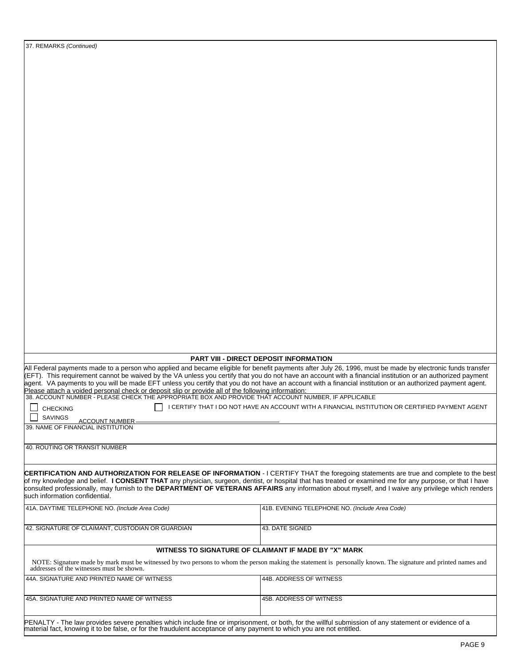|                                                                                                                                                                                                                                                                                                                    | PART VIII - DIRECT DEPOSIT INFORMATION                                                                                                                                                                                                                                                                                                                                                                                                                                                 |
|--------------------------------------------------------------------------------------------------------------------------------------------------------------------------------------------------------------------------------------------------------------------------------------------------------------------|----------------------------------------------------------------------------------------------------------------------------------------------------------------------------------------------------------------------------------------------------------------------------------------------------------------------------------------------------------------------------------------------------------------------------------------------------------------------------------------|
|                                                                                                                                                                                                                                                                                                                    | All Federal payments made to a person who applied and became eligible for benefit payments after July 26, 1996, must be made by electronic funds transfer<br>(EFT). This requirement cannot be waived by the VA unless you certify that you do not have an account with a financial institution or an authorized payment<br>agent. VA payments to you will be made EFT unless you certify that you do not have an account with a financial institution or an authorized payment agent. |
| <b>CHECKING</b>                                                                                                                                                                                                                                                                                                    | I CERTIFY THAT I DO NOT HAVE AN ACCOUNT WITH A FINANCIAL INSTITUTION OR CERTIFIED PAYMENT AGENT                                                                                                                                                                                                                                                                                                                                                                                        |
| <b>SAVINGS</b><br><b>ACCOUNT NUMBER</b>                                                                                                                                                                                                                                                                            |                                                                                                                                                                                                                                                                                                                                                                                                                                                                                        |
|                                                                                                                                                                                                                                                                                                                    |                                                                                                                                                                                                                                                                                                                                                                                                                                                                                        |
| Please attach a voided personal check or deposit slip or provide all of the following information:<br>38. ACCOUNT NUMBER - PLEASE CHECK THE APPROPRIATE BOX AND PROVIDE THAT ACCOUNT NUMBER, IF APPLICABLE<br>39. NAME OF FINANCIAL INSTITUTION<br>40. ROUTING OR TRANSIT NUMBER<br>such information confidential. | CERTIFICATION AND AUTHORIZATION FOR RELEASE OF INFORMATION - I CERTIFY THAT the foregoing statements are true and complete to the best<br>of my knowledge and belief. I CONSENT THAT any physician, surgeon, dentist, or hospital that has treated or examined me for any purpose, or that I have<br>consulted professionally, may furnish to the DEPARTMENT OF VETERANS AFFAIRS any information about myself, and I waive any privilege which renders                                 |
|                                                                                                                                                                                                                                                                                                                    | 41B. EVENING TELEPHONE NO. (Include Area Code)                                                                                                                                                                                                                                                                                                                                                                                                                                         |
|                                                                                                                                                                                                                                                                                                                    | 43. DATE SIGNED                                                                                                                                                                                                                                                                                                                                                                                                                                                                        |
|                                                                                                                                                                                                                                                                                                                    | WITNESS TO SIGNATURE OF CLAIMANT IF MADE BY "X" MARK                                                                                                                                                                                                                                                                                                                                                                                                                                   |
| addresses of the witnesses must be shown.                                                                                                                                                                                                                                                                          | NOTE: Signature made by mark must be witnessed by two persons to whom the person making the statement is personally known. The signature and printed names and                                                                                                                                                                                                                                                                                                                         |
| 41A. DAYTIME TELEPHONE NO. (Include Area Code)<br>42. SIGNATURE OF CLAIMANT, CUSTODIAN OR GUARDIAN<br>44A. SIGNATURE AND PRINTED NAME OF WITNESS                                                                                                                                                                   | 44B. ADDRESS OF WITNESS                                                                                                                                                                                                                                                                                                                                                                                                                                                                |

37. REMARKS (Continued)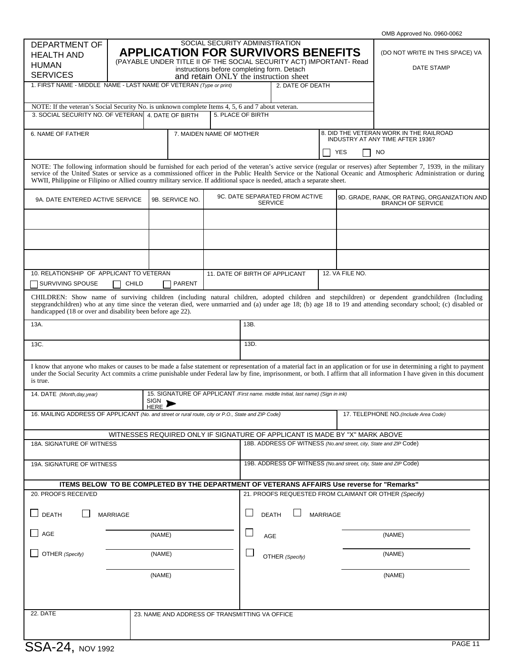|                                                                                                                          |                 |                 |                                                                                                                                                                                                                                            |                  |                 | OMB Approved No. 0960-0062                                                                                                                                                                                                                                                                                                                        |
|--------------------------------------------------------------------------------------------------------------------------|-----------------|-----------------|--------------------------------------------------------------------------------------------------------------------------------------------------------------------------------------------------------------------------------------------|------------------|-----------------|---------------------------------------------------------------------------------------------------------------------------------------------------------------------------------------------------------------------------------------------------------------------------------------------------------------------------------------------------|
| <b>DEPARTMENT OF</b><br><b>HEALTH AND</b><br><b>HUMAN</b><br><b>SERVICES</b>                                             |                 |                 | SOCIAL SECURITY ADMINISTRATION<br><b>APPLICATION FOR SURVIVORS BENEFITS</b><br>(PAYABLE UNDER TITLE II OF THE SOCIAL SECURITY ACT) IMPORTANT- Read<br>instructions before completing form. Detach<br>and retain ONLY the instruction sheet |                  |                 | (DO NOT WRITE IN THIS SPACE) VA<br>DATE STAMP                                                                                                                                                                                                                                                                                                     |
| 1. FIRST NAME - MIDDLE NAME - LAST NAME OF VETERAN (Type or print)                                                       |                 |                 |                                                                                                                                                                                                                                            | 2. DATE OF DEATH |                 |                                                                                                                                                                                                                                                                                                                                                   |
| NOTE: If the veteran's Social Security No. is unknown complete Items 4, 5, 6 and 7 about veteran.                        |                 |                 |                                                                                                                                                                                                                                            |                  |                 |                                                                                                                                                                                                                                                                                                                                                   |
| 3. SOCIAL SECURITY NO. OF VETERAN 4. DATE OF BIRTH                                                                       |                 |                 | 5. PLACE OF BIRTH                                                                                                                                                                                                                          |                  |                 |                                                                                                                                                                                                                                                                                                                                                   |
| 6. NAME OF FATHER                                                                                                        |                 |                 | 7. MAIDEN NAME OF MOTHER                                                                                                                                                                                                                   |                  | <b>YES</b>      | 8. DID THE VETERAN WORK IN THE RAILROAD<br>INDUSTRY AT ANY TIME AFTER 1936?<br><b>NO</b>                                                                                                                                                                                                                                                          |
| WWII, Philippine or Filipino or Allied country military service. If additional space is needed, attach a separate sheet. |                 |                 |                                                                                                                                                                                                                                            |                  |                 | NOTE: The following information should be furnished for each period of the veteran's active service (regular or reserves) after September 7, 1939, in the military<br>service of the United States or service as a commissioned officer in the Public Health Service or the National Oceanic and Atmospheric Administration or during             |
| 9A. DATE ENTERED ACTIVE SERVICE                                                                                          |                 | 9B. SERVICE NO. | 9C. DATE SEPARATED FROM ACTIVE                                                                                                                                                                                                             | <b>SERVICE</b>   |                 | 9D. GRADE, RANK, OR RATING, ORGANIZATION AND<br><b>BRANCH OF SERVICE</b>                                                                                                                                                                                                                                                                          |
|                                                                                                                          |                 |                 |                                                                                                                                                                                                                                            |                  |                 |                                                                                                                                                                                                                                                                                                                                                   |
|                                                                                                                          |                 |                 |                                                                                                                                                                                                                                            |                  |                 |                                                                                                                                                                                                                                                                                                                                                   |
| 10. RELATIONSHIP OF APPLICANT TO VETERAN<br><b>SURVIVING SPOUSE</b>                                                      | CHILD           | PARENT          | 11. DATE OF BIRTH OF APPLICANT                                                                                                                                                                                                             |                  | 12. VA FILE NO. |                                                                                                                                                                                                                                                                                                                                                   |
| handicapped (18 or over and disability been before age 22).                                                              |                 |                 |                                                                                                                                                                                                                                            |                  |                 | CHILDREN: Show name of surviving children (including natural children, adopted children and stepchildren) or dependent grandchildren (Including<br>stepgrandchildren) who at any time since the veteran died, were unmarried and (a) under age 18; (b) age 18 to 19 and attending secondary school; (c) disabled or                               |
| 13A.                                                                                                                     |                 |                 | 13B.                                                                                                                                                                                                                                       |                  |                 |                                                                                                                                                                                                                                                                                                                                                   |
|                                                                                                                          |                 |                 |                                                                                                                                                                                                                                            |                  |                 |                                                                                                                                                                                                                                                                                                                                                   |
| 13C.                                                                                                                     |                 |                 | 13D.                                                                                                                                                                                                                                       |                  |                 |                                                                                                                                                                                                                                                                                                                                                   |
| is true.                                                                                                                 |                 |                 |                                                                                                                                                                                                                                            |                  |                 | I know that anyone who makes or causes to be made a false statement or representation of a material fact in an application or for use in determining a right to payment<br>under the Social Security Act commits a crime punishable under Federal law by fine, imprisonment, or both. I affirm that all information I have given in this document |
| 14. DATE (Month, day, year)                                                                                              |                 | SIGN D          | 15. SIGNATURE OF APPLICANT /First name. middle Initial, last name) (Sign in ink)                                                                                                                                                           |                  |                 |                                                                                                                                                                                                                                                                                                                                                   |
| 16. MAILING ADDRESS OF APPLICANT (No. and street or rural route, city or P.O., State and ZIP Code)                       |                 | <b>HERE</b>     |                                                                                                                                                                                                                                            |                  |                 | 17. TELEPHONE NO. (Include Area Code)                                                                                                                                                                                                                                                                                                             |
|                                                                                                                          |                 |                 | WITNESSES REQUIRED ONLY IF SIGNATURE OF APPLICANT IS MADE BY "X" MARK ABOVE                                                                                                                                                                |                  |                 |                                                                                                                                                                                                                                                                                                                                                   |
| 18A. SIGNATURE OF WITNESS                                                                                                |                 |                 |                                                                                                                                                                                                                                            |                  |                 | 18B. ADDRESS OF WITNESS (No.and street, city, State and ZIP Code)                                                                                                                                                                                                                                                                                 |
| 19A. SIGNATURE OF WITNESS                                                                                                |                 |                 |                                                                                                                                                                                                                                            |                  |                 | 19B. ADDRESS OF WITNESS (No.and street, city, State and ZIP Code)                                                                                                                                                                                                                                                                                 |
|                                                                                                                          |                 |                 | ITEMS BELOW TO BE COMPLETED BY THE DEPARTMENT OF VETERANS AFFAIRS Use reverse for "Remarks"                                                                                                                                                |                  |                 |                                                                                                                                                                                                                                                                                                                                                   |
| 20. PROOFS RECEIVED                                                                                                      |                 |                 |                                                                                                                                                                                                                                            |                  |                 | 21. PROOFS REQUESTED FROM CLAIMANT OR OTHER (Specify)                                                                                                                                                                                                                                                                                             |
| $\Box$ DEATH                                                                                                             | <b>MARRIAGE</b> |                 |                                                                                                                                                                                                                                            | <b>DEATH</b>     | <b>MARRIAGE</b> |                                                                                                                                                                                                                                                                                                                                                   |
|                                                                                                                          |                 | (NAME)          | $\Box$                                                                                                                                                                                                                                     | AGE              |                 | (NAME)                                                                                                                                                                                                                                                                                                                                            |
| $\Box$ AGE<br>OTHER (Specify)                                                                                            |                 | (NAME)          |                                                                                                                                                                                                                                            | OTHER (Specify)  |                 | (NAME)                                                                                                                                                                                                                                                                                                                                            |
|                                                                                                                          |                 | (NAME)          |                                                                                                                                                                                                                                            |                  |                 | (NAME)                                                                                                                                                                                                                                                                                                                                            |
|                                                                                                                          |                 |                 |                                                                                                                                                                                                                                            |                  |                 |                                                                                                                                                                                                                                                                                                                                                   |
| 22. DATE                                                                                                                 |                 |                 | 23. NAME AND ADDRESS OF TRANSMITTING VA OFFICE                                                                                                                                                                                             |                  |                 |                                                                                                                                                                                                                                                                                                                                                   |